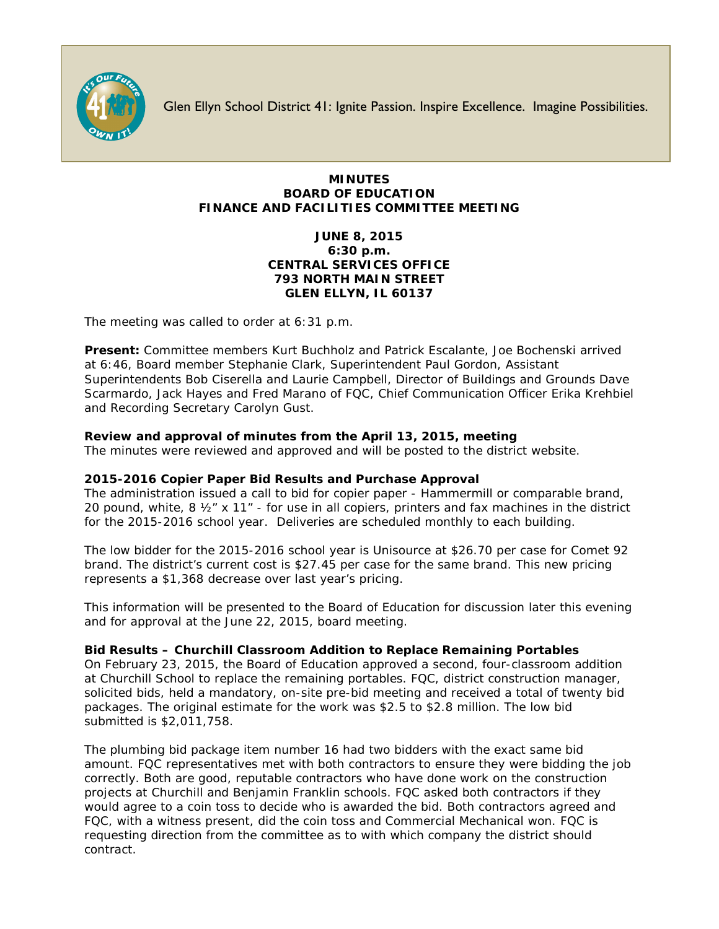

Glen Ellyn School District 41: Ignite Passion. Inspire Excellence. Imagine Possibilities.

# **MINUTES BOARD OF EDUCATION FINANCE AND FACILITIES COMMITTEE MEETING**

# **JUNE 8, 2015 6:30 p.m. CENTRAL SERVICES OFFICE 793 NORTH MAIN STREET GLEN ELLYN, IL 60137**

The meeting was called to order at 6:31 p.m.

**Present:** Committee members Kurt Buchholz and Patrick Escalante, Joe Bochenski arrived at 6:46, Board member Stephanie Clark, Superintendent Paul Gordon, Assistant Superintendents Bob Ciserella and Laurie Campbell, Director of Buildings and Grounds Dave Scarmardo, Jack Hayes and Fred Marano of FQC, Chief Communication Officer [Erika Krehbiel](http://www.d41.org/contact_email.asp?id=ekrehbiel&n=Erika_Krehbiel) and Recording Secretary Carolyn Gust.

# **Review and approval of minutes from the April 13, 2015, meeting**

The minutes were reviewed and approved and will be posted to the district website.

# **2015-2016 Copier Paper Bid Results and Purchase Approval**

The administration issued a call to bid for copier paper - Hammermill or comparable brand, 20 pound, white, 8 ½" x 11" - for use in all copiers, printers and fax machines in the district for the 2015-2016 school year. Deliveries are scheduled monthly to each building.

The low bidder for the 2015-2016 school year is Unisource at \$26.70 per case for Comet 92 brand. The district's current cost is \$27.45 per case for the same brand. This new pricing represents a \$1,368 decrease over last year's pricing.

This information will be presented to the Board of Education for discussion later this evening and for approval at the June 22, 2015, board meeting.

## **Bid Results – Churchill Classroom Addition to Replace Remaining Portables**

On February 23, 2015, the Board of Education approved a second, four-classroom addition at Churchill School to replace the remaining portables. FQC, district construction manager, solicited bids, held a mandatory, on-site pre-bid meeting and received a total of twenty bid packages. The original estimate for the work was \$2.5 to \$2.8 million. The low bid submitted is \$2,011,758.

The plumbing bid package item number 16 had two bidders with the exact same bid amount. FQC representatives met with both contractors to ensure they were bidding the job correctly. Both are good, reputable contractors who have done work on the construction projects at Churchill and Benjamin Franklin schools. FQC asked both contractors if they would agree to a coin toss to decide who is awarded the bid. Both contractors agreed and FQC, with a witness present, did the coin toss and Commercial Mechanical won. FQC is requesting direction from the committee as to with which company the district should contract.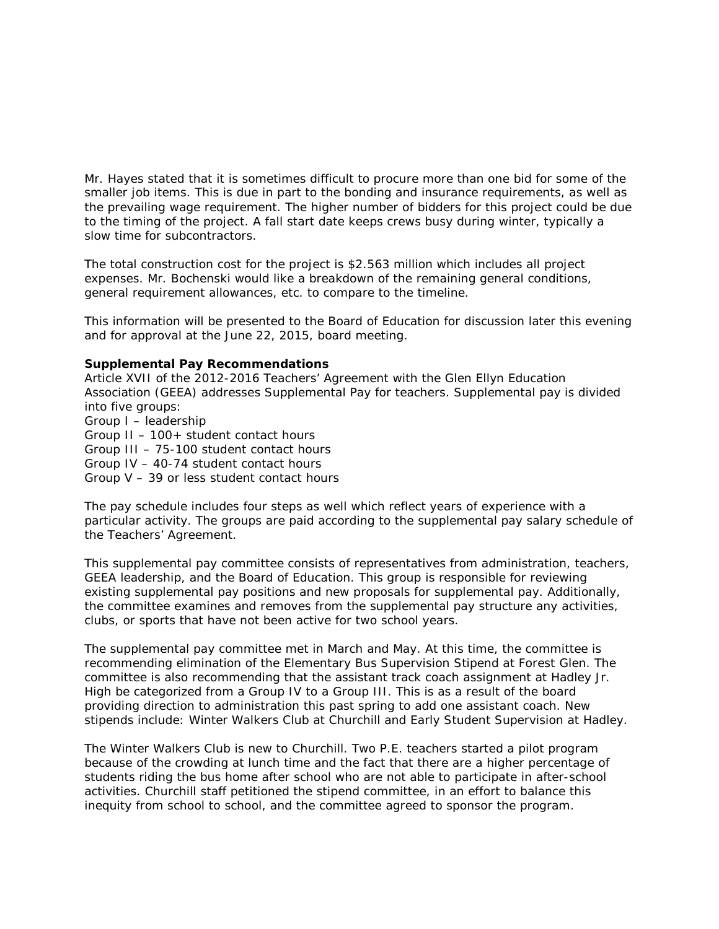Mr. Hayes stated that it is sometimes difficult to procure more than one bid for some of the smaller job items. This is due in part to the bonding and insurance requirements, as well as the prevailing wage requirement. The higher number of bidders for this project could be due to the timing of the project. A fall start date keeps crews busy during winter, typically a slow time for subcontractors.

The total construction cost for the project is \$2.563 million which includes all project expenses. Mr. Bochenski would like a breakdown of the remaining general conditions, general requirement allowances, etc. to compare to the timeline.

This information will be presented to the Board of Education for discussion later this evening and for approval at the June 22, 2015, board meeting.

#### **Supplemental Pay Recommendations**

Article XVII of the 2012-2016 Teachers' Agreement with the Glen Ellyn Education Association (GEEA) addresses Supplemental Pay for teachers. Supplemental pay is divided into five groups: Group I – leadership Group II – 100+ student contact hours Group III – 75-100 student contact hours Group IV – 40-74 student contact hours Group V – 39 or less student contact hours

The pay schedule includes four steps as well which reflect years of experience with a particular activity. The groups are paid according to the supplemental pay salary schedule of the Teachers' Agreement.

This supplemental pay committee consists of representatives from administration, teachers, GEEA leadership, and the Board of Education. This group is responsible for reviewing existing supplemental pay positions and new proposals for supplemental pay. Additionally, the committee examines and removes from the supplemental pay structure any activities, clubs, or sports that have not been active for two school years.

The supplemental pay committee met in March and May. At this time, the committee is recommending elimination of the Elementary Bus Supervision Stipend at Forest Glen. The committee is also recommending that the assistant track coach assignment at Hadley Jr. High be categorized from a Group IV to a Group III. This is as a result of the board providing direction to administration this past spring to add one assistant coach. New stipends include: Winter Walkers Club at Churchill and Early Student Supervision at Hadley.

The Winter Walkers Club is new to Churchill. Two P.E. teachers started a pilot program because of the crowding at lunch time and the fact that there are a higher percentage of students riding the bus home after school who are not able to participate in after-school activities. Churchill staff petitioned the stipend committee, in an effort to balance this inequity from school to school, and the committee agreed to sponsor the program.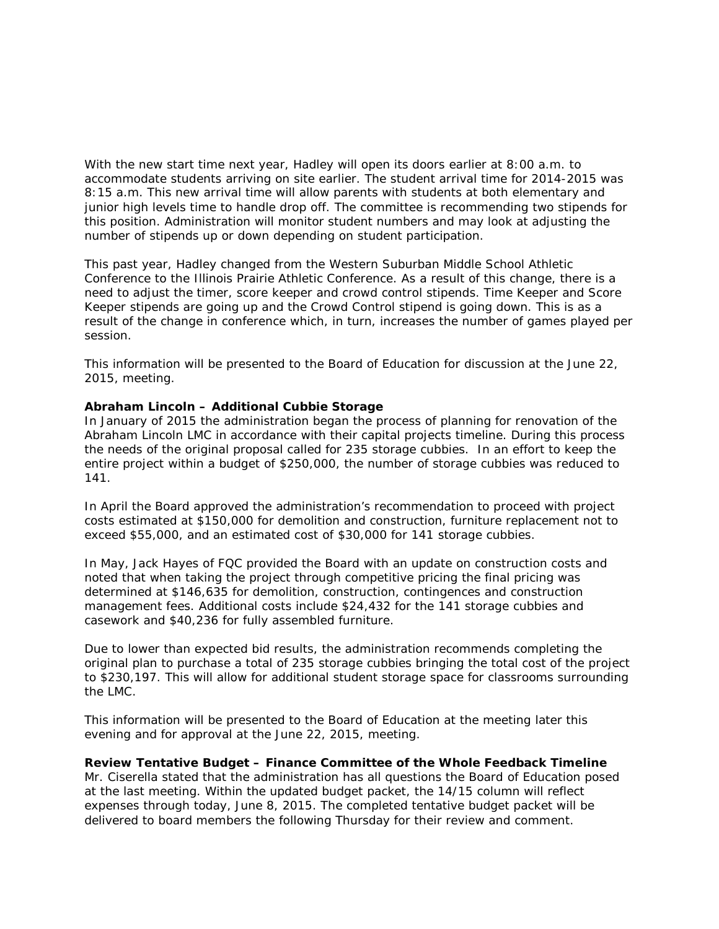With the new start time next year, Hadley will open its doors earlier at 8:00 a.m. to accommodate students arriving on site earlier. The student arrival time for 2014-2015 was 8:15 a.m. This new arrival time will allow parents with students at both elementary and junior high levels time to handle drop off. The committee is recommending two stipends for this position. Administration will monitor student numbers and may look at adjusting the number of stipends up or down depending on student participation.

This past year, Hadley changed from the Western Suburban Middle School Athletic Conference to the Illinois Prairie Athletic Conference. As a result of this change, there is a need to adjust the timer, score keeper and crowd control stipends. Time Keeper and Score Keeper stipends are going up and the Crowd Control stipend is going down. This is as a result of the change in conference which, in turn, increases the number of games played per session.

This information will be presented to the Board of Education for discussion at the June 22, 2015, meeting.

#### **Abraham Lincoln – Additional Cubbie Storage**

In January of 2015 the administration began the process of planning for renovation of the Abraham Lincoln LMC in accordance with their capital projects timeline. During this process the needs of the original proposal called for 235 storage cubbies. In an effort to keep the entire project within a budget of \$250,000, the number of storage cubbies was reduced to 141.

In April the Board approved the administration's recommendation to proceed with project costs estimated at \$150,000 for demolition and construction, furniture replacement not to exceed \$55,000, and an estimated cost of \$30,000 for 141 storage cubbies.

In May, Jack Hayes of FQC provided the Board with an update on construction costs and noted that when taking the project through competitive pricing the final pricing was determined at \$146,635 for demolition, construction, contingences and construction management fees. Additional costs include \$24,432 for the 141 storage cubbies and casework and \$40,236 for fully assembled furniture.

Due to lower than expected bid results, the administration recommends completing the original plan to purchase a total of 235 storage cubbies bringing the total cost of the project to \$230,197. This will allow for additional student storage space for classrooms surrounding the LMC.

This information will be presented to the Board of Education at the meeting later this evening and for approval at the June 22, 2015, meeting.

#### **Review Tentative Budget – Finance Committee of the Whole Feedback Timeline**

Mr. Ciserella stated that the administration has all questions the Board of Education posed at the last meeting. Within the updated budget packet, the 14/15 column will reflect expenses through today, June 8, 2015. The completed tentative budget packet will be delivered to board members the following Thursday for their review and comment.